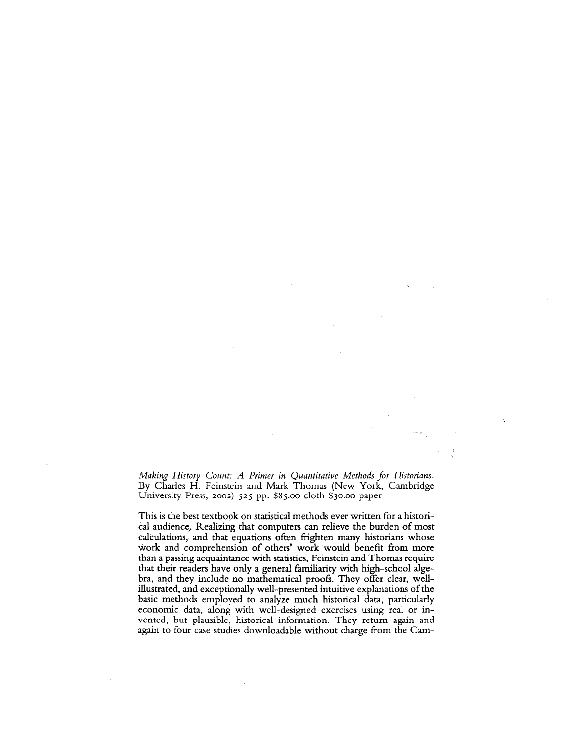*Making History Count: A Primer in Quantitative Methods for Historians.*  By Charles H. Feinstein and Mark Thomas (New York, Cambridge University Press, 2002) 525 pp. \$85.00 cloth \$3o.oo paper

This is the best textbook on statistical methods ever written for a historical audience, Realizing that computers can relieve the burden of most calculations, and that equations often frighten many historians whose work and comprehension of others' work would benefit from more than a passing acquaintance with statistics, Feinstein and Thomas require that their readers have only a general familiarity with high-school algebra, and they include no mathematical proofs. They offer clear, wellillustrated, and exceptionally well-presented intuitive explanations of the basic methods employed to analyze much historical data, particularly economic data, along with well-designed exercises using real or invented, but plausible, historical information. They return again and again to four case studies downloadable without charge from the Cam-